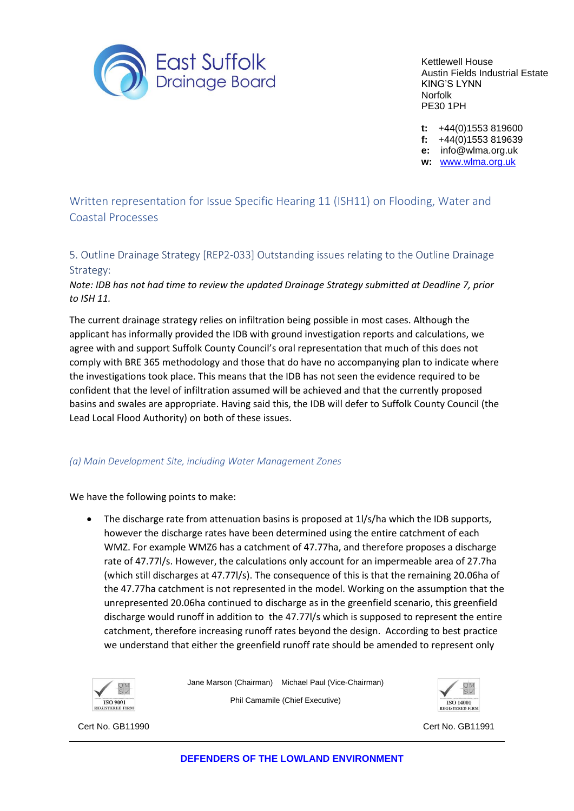

Kettlewell House Austin Fields Industrial Estate KING'S LYNN Norfolk PE30 1PH

**t:** +44(0)1553 819600

**f:** +44(0)1553 819639

**e:** info@wlma.org.uk

**w:** [www.wlma.org.uk](http://www.wlma.org.uk/)

Written representation for Issue Specific Hearing 11 (ISH11) on Flooding, Water and Coastal Processes

5. Outline Drainage Strategy [REP2-033] Outstanding issues relating to the Outline Drainage Strategy:

*Note: IDB has not had time to review the updated Drainage Strategy submitted at Deadline 7, prior to ISH 11.*

The current drainage strategy relies on infiltration being possible in most cases. Although the applicant has informally provided the IDB with ground investigation reports and calculations, we agree with and support Suffolk County Council's oral representation that much of this does not comply with BRE 365 methodology and those that do have no accompanying plan to indicate where the investigations took place. This means that the IDB has not seen the evidence required to be confident that the level of infiltration assumed will be achieved and that the currently proposed basins and swales are appropriate. Having said this, the IDB will defer to Suffolk County Council (the Lead Local Flood Authority) on both of these issues.

## *(a) Main Development Site, including Water Management Zones*

We have the following points to make:

• The discharge rate from attenuation basins is proposed at 1l/s/ha which the IDB supports, however the discharge rates have been determined using the entire catchment of each WMZ. For example WMZ6 has a catchment of 47.77ha, and therefore proposes a discharge rate of 47.77l/s. However, the calculations only account for an impermeable area of 27.7ha (which still discharges at 47.77l/s). The consequence of this is that the remaining 20.06ha of the 47.77ha catchment is not represented in the model. Working on the assumption that the unrepresented 20.06ha continued to discharge as in the greenfield scenario, this greenfield discharge would runoff in addition to the 47.77l/s which is supposed to represent the entire catchment, therefore increasing runoff rates beyond the design. According to best practice we understand that either the greenfield runoff rate should be amended to represent only



Jane Marson (Chairman) Michael Paul (Vice-Chairman) Phil Camamile (Chief Executive)



Cert No. GB11990 Cert No. GB11991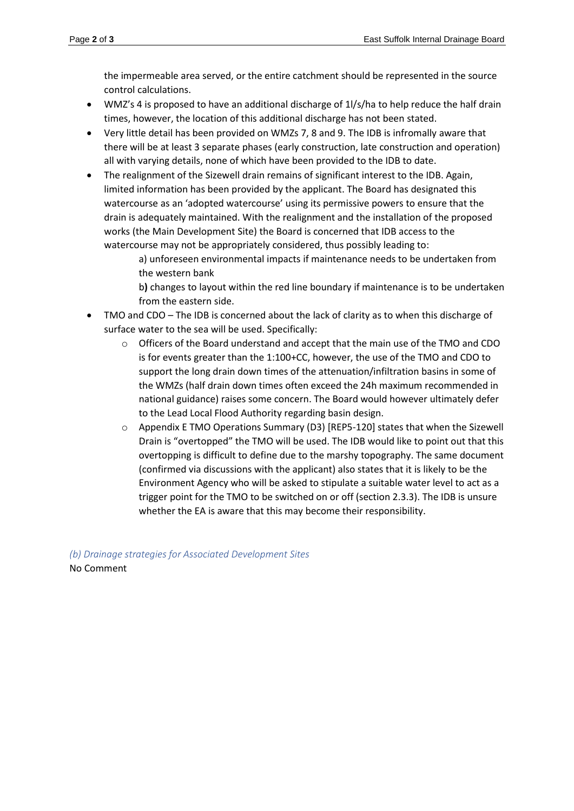the impermeable area served, or the entire catchment should be represented in the source control calculations.

- WMZ's 4 is proposed to have an additional discharge of 1l/s/ha to help reduce the half drain times, however, the location of this additional discharge has not been stated.
- Very little detail has been provided on WMZs 7, 8 and 9. The IDB is infromally aware that there will be at least 3 separate phases (early construction, late construction and operation) all with varying details, none of which have been provided to the IDB to date.
- The realignment of the Sizewell drain remains of significant interest to the IDB. Again, limited information has been provided by the applicant. The Board has designated this watercourse as an 'adopted watercourse' using its permissive powers to ensure that the drain is adequately maintained. With the realignment and the installation of the proposed works (the Main Development Site) the Board is concerned that IDB access to the watercourse may not be appropriately considered, thus possibly leading to:

a) unforeseen environmental impacts if maintenance needs to be undertaken from the western bank

b**)** changes to layout within the red line boundary if maintenance is to be undertaken from the eastern side.

- TMO and CDO The IDB is concerned about the lack of clarity as to when this discharge of surface water to the sea will be used. Specifically:
	- $\circ$  Officers of the Board understand and accept that the main use of the TMO and CDO is for events greater than the 1:100+CC, however, the use of the TMO and CDO to support the long drain down times of the attenuation/infiltration basins in some of the WMZs (half drain down times often exceed the 24h maximum recommended in national guidance) raises some concern. The Board would however ultimately defer to the Lead Local Flood Authority regarding basin design.
	- $\circ$  Appendix E TMO Operations Summary (D3) [REP5-120] states that when the Sizewell Drain is "overtopped" the TMO will be used. The IDB would like to point out that this overtopping is difficult to define due to the marshy topography. The same document (confirmed via discussions with the applicant) also states that it is likely to be the Environment Agency who will be asked to stipulate a suitable water level to act as a trigger point for the TMO to be switched on or off (section 2.3.3). The IDB is unsure whether the EA is aware that this may become their responsibility.

*(b) Drainage strategies for Associated Development Sites*  No Comment